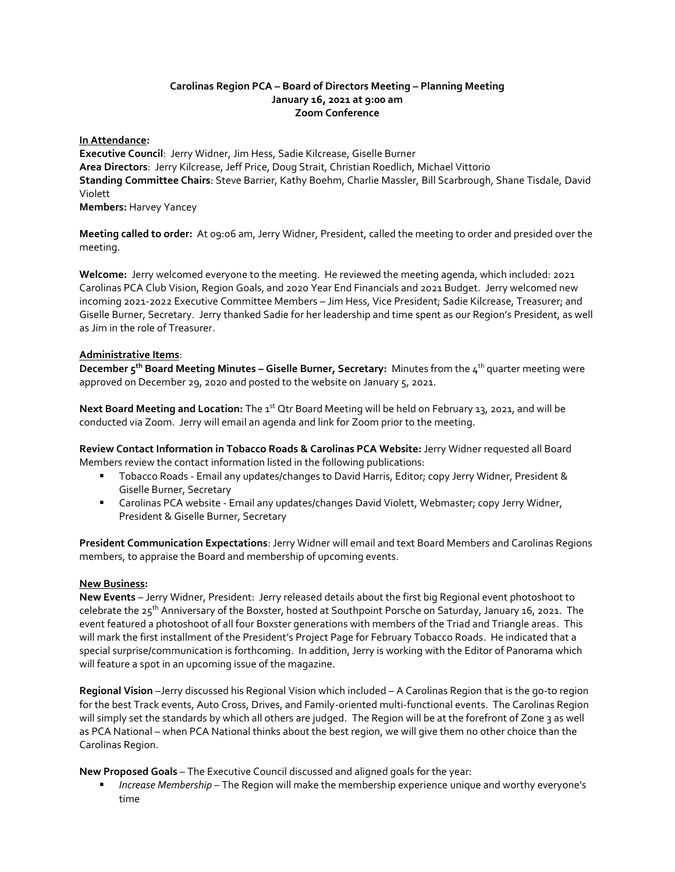## **Carolinas Region PCA – Board of Directors Meeting – Planning Meeting January 16, 2021 at 9:00 am Zoom Conference**

### **In Attendance:**

**Executive Council**: Jerry Widner, Jim Hess, Sadie Kilcrease, Giselle Burner **Area Directors**: Jerry Kilcrease, Jeff Price, Doug Strait, Christian Roedlich, Michael Vittorio **Standing Committee Chairs**: Steve Barrier, Kathy Boehm, Charlie Massler, Bill Scarbrough, Shane Tisdale, David Violett **Members:** Harvey Yancey

**Meeting called to order:** At 09:06 am, Jerry Widner, President, called the meeting to order and presided over the meeting.

**Welcome:** Jerry welcomed everyone to the meeting. He reviewed the meeting agenda, which included: 2021 Carolinas PCA Club Vision, Region Goals, and 2020 Year End Financials and 2021 Budget. Jerry welcomed new incoming 2021-2022 Executive Committee Members – Jim Hess, Vice President; Sadie Kilcrease, Treasurer; and Giselle Burner, Secretary. Jerry thanked Sadie for her leadership and time spent as our Region's President, as well as Jim in the role of Treasurer.

## **Administrative Items**:

**December 5th Board Meeting Minutes – Giselle Burner, Secretary:** Minutes from the 4th quarter meeting were approved on December 29, 2020 and posted to the website on January 5, 2021.

Next Board Meeting and Location: The 1<sup>st</sup> Qtr Board Meeting will be held on February 13, 2021, and will be conducted via Zoom. Jerry will email an agenda and link for Zoom prior to the meeting.

**Review Contact Information in Tobacco Roads & Carolinas PCA Website:** Jerry Widner requested all Board Members review the contact information listed in the following publications:

- Tobacco Roads Email any updates/changes to David Harris, Editor; copy Jerry Widner, President & Giselle Burner, Secretary
- Carolinas PCA website Email any updates/changes David Violett, Webmaster; copy Jerry Widner, President & Giselle Burner, Secretary

**President Communication Expectations**: Jerry Widner will email and text Board Members and Carolinas Regions members, to appraise the Board and membership of upcoming events.

# **New Business:**

**New Events** – Jerry Widner, President: Jerry released details about the first big Regional event photoshoot to celebrate the 25<sup>th</sup> Anniversary of the Boxster, hosted at Southpoint Porsche on Saturday, January 16, 2021. The event featured a photoshoot of all four Boxster generations with members of the Triad and Triangle areas. This will mark the first installment of the President's Project Page for February Tobacco Roads. He indicated that a special surprise/communication is forthcoming. In addition, Jerry is working with the Editor of Panorama which will feature a spot in an upcoming issue of the magazine.

**Regional Vision** –Jerry discussed his Regional Vision which included – A Carolinas Region that is the go-to region for the best Track events, Auto Cross, Drives, and Family-oriented multi-functional events. The Carolinas Region will simply set the standards by which all others are judged. The Region will be at the forefront of Zone 3 as well as PCA National – when PCA National thinks about the best region, we will give them no other choice than the Carolinas Region.

**New Proposed Goals** – The Executive Council discussed and aligned goals for the year:

▪ *Increase Membership* – The Region will make the membership experience unique and worthy everyone's time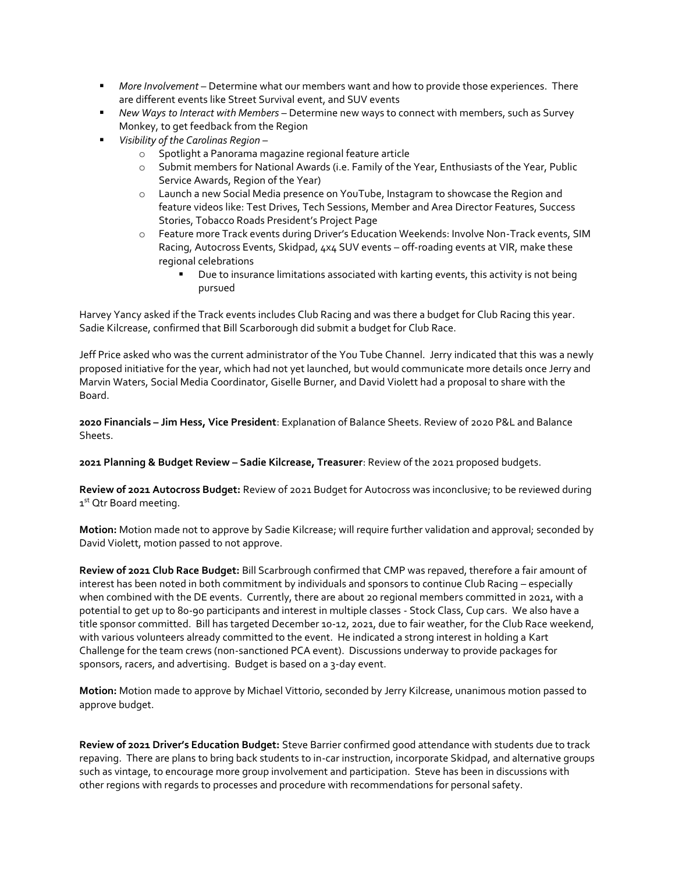- *More Involvement* Determine what our members want and how to provide those experiences. There are different events like Street Survival event, and SUV events
- *New Ways to Interact with Members* Determine new ways to connect with members, such as Survey Monkey, to get feedback from the Region
- *Visibility of the Carolinas Region*
	- o Spotlight a Panorama magazine regional feature article
	- o Submit members for National Awards (i.e. Family of the Year, Enthusiasts of the Year, Public Service Awards, Region of the Year)
	- o Launch a new Social Media presence on YouTube, Instagram to showcase the Region and feature videos like: Test Drives, Tech Sessions, Member and Area Director Features, Success Stories, Tobacco Roads President's Project Page
	- o Feature more Track events during Driver's Education Weekends: Involve Non-Track events, SIM Racing, Autocross Events, Skidpad, 4x4 SUV events – off-roading events at VIR, make these regional celebrations
		- Due to insurance limitations associated with karting events, this activity is not being pursued

Harvey Yancy asked if the Track events includes Club Racing and was there a budget for Club Racing this year. Sadie Kilcrease, confirmed that Bill Scarborough did submit a budget for Club Race.

Jeff Price asked who was the current administrator of the You Tube Channel. Jerry indicated that this was a newly proposed initiative for the year, which had not yet launched, but would communicate more details once Jerry and Marvin Waters, Social Media Coordinator, Giselle Burner, and David Violett had a proposal to share with the Board.

**2020 Financials – Jim Hess, Vice President**: Explanation of Balance Sheets. Review of 2020 P&L and Balance Sheets.

**2021 Planning & Budget Review – Sadie Kilcrease, Treasurer**: Review of the 2021 proposed budgets.

**Review of 2021 Autocross Budget:** Review of 2021 Budget for Autocross was inconclusive; to be reviewed during 1<sup>st</sup> Otr Board meeting.

**Motion:** Motion made not to approve by Sadie Kilcrease; will require further validation and approval; seconded by David Violett, motion passed to not approve.

**Review of 2021 Club Race Budget:** Bill Scarbrough confirmed that CMP was repaved, therefore a fair amount of interest has been noted in both commitment by individuals and sponsors to continue Club Racing – especially when combined with the DE events. Currently, there are about 20 regional members committed in 2021, with a potential to get up to 80-90 participants and interest in multiple classes - Stock Class, Cup cars. We also have a title sponsor committed. Bill has targeted December 10-12, 2021, due to fair weather, for the Club Race weekend, with various volunteers already committed to the event. He indicated a strong interest in holding a Kart Challenge for the team crews (non-sanctioned PCA event). Discussions underway to provide packages for sponsors, racers, and advertising. Budget is based on a 3-day event.

**Motion:** Motion made to approve by Michael Vittorio, seconded by Jerry Kilcrease, unanimous motion passed to approve budget.

**Review of 2021 Driver's Education Budget:** Steve Barrier confirmed good attendance with students due to track repaving. There are plans to bring back students to in-car instruction, incorporate Skidpad, and alternative groups such as vintage, to encourage more group involvement and participation. Steve has been in discussions with other regions with regards to processes and procedure with recommendations for personal safety.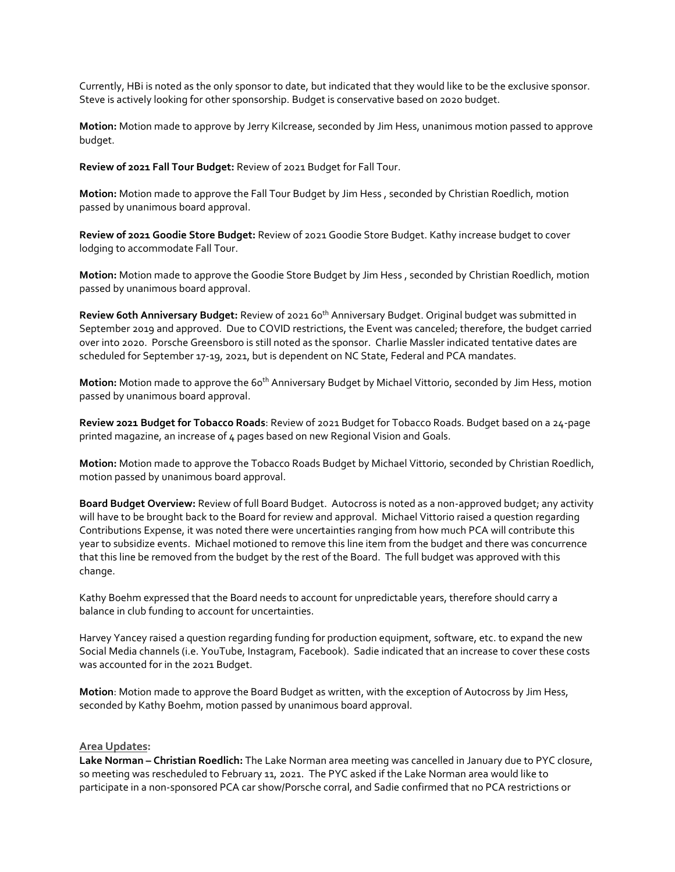Currently, HBi is noted as the only sponsor to date, but indicated that they would like to be the exclusive sponsor. Steve is actively looking for other sponsorship. Budget is conservative based on 2020 budget.

**Motion:** Motion made to approve by Jerry Kilcrease, seconded by Jim Hess, unanimous motion passed to approve budget.

**Review of 2021 Fall Tour Budget:** Review of 2021 Budget for Fall Tour.

**Motion:** Motion made to approve the Fall Tour Budget by Jim Hess , seconded by Christian Roedlich, motion passed by unanimous board approval.

**Review of 2021 Goodie Store Budget:** Review of 2021 Goodie Store Budget. Kathy increase budget to cover lodging to accommodate Fall Tour.

**Motion:** Motion made to approve the Goodie Store Budget by Jim Hess , seconded by Christian Roedlich, motion passed by unanimous board approval.

**Review 60th Anniversary Budget:** Review of 2021 60th Anniversary Budget. Original budget was submitted in September 2019 and approved. Due to COVID restrictions, the Event was canceled; therefore, the budget carried over into 2020. Porsche Greensboro is still noted as the sponsor. Charlie Massler indicated tentative dates are scheduled for September 17-19, 2021, but is dependent on NC State, Federal and PCA mandates.

**Motion:** Motion made to approve the 60<sup>th</sup> Anniversary Budget by Michael Vittorio, seconded by Jim Hess, motion passed by unanimous board approval.

**Review 2021 Budget for Tobacco Roads**: Review of 2021 Budget for Tobacco Roads. Budget based on a 24-page printed magazine, an increase of 4 pages based on new Regional Vision and Goals.

**Motion:** Motion made to approve the Tobacco Roads Budget by Michael Vittorio, seconded by Christian Roedlich, motion passed by unanimous board approval.

**Board Budget Overview:** Review of full Board Budget. Autocross is noted as a non-approved budget; any activity will have to be brought back to the Board for review and approval. Michael Vittorio raised a question regarding Contributions Expense, it was noted there were uncertainties ranging from how much PCA will contribute this year to subsidize events. Michael motioned to remove this line item from the budget and there was concurrence that this line be removed from the budget by the rest of the Board. The full budget was approved with this change.

Kathy Boehm expressed that the Board needs to account for unpredictable years, therefore should carry a balance in club funding to account for uncertainties.

Harvey Yancey raised a question regarding funding for production equipment, software, etc. to expand the new Social Media channels (i.e. YouTube, Instagram, Facebook). Sadie indicated that an increase to cover these costs was accounted for in the 2021 Budget.

**Motion**: Motion made to approve the Board Budget as written, with the exception of Autocross by Jim Hess, seconded by Kathy Boehm, motion passed by unanimous board approval.

### **Area Updates:**

**Lake Norman – Christian Roedlich:** The Lake Norman area meeting was cancelled in January due to PYC closure, so meeting was rescheduled to February 11, 2021. The PYC asked if the Lake Norman area would like to participate in a non-sponsored PCA car show/Porsche corral, and Sadie confirmed that no PCA restrictions or